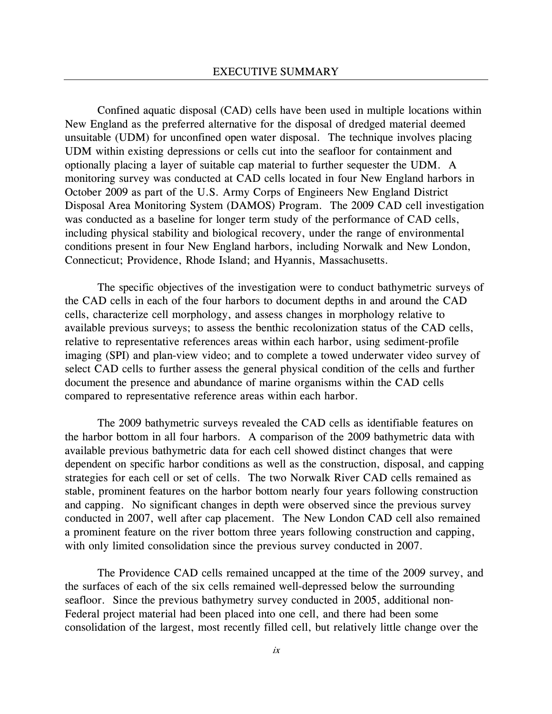Confined aquatic disposal (CAD) cells have been used in multiple locations within New England as the preferred alternative for the disposal of dredged material deemed unsuitable (UDM) for unconfined open water disposal. The technique involves placing UDM within existing depressions or cells cut into the seafloor for containment and optionally placing a layer of suitable cap material to further sequester the UDM. A monitoring survey was conducted at CAD cells located in four New England harbors in October 2009 as part of the U.S. Army Corps of Engineers New England District Disposal Area Monitoring System (DAMOS) Program. The 2009 CAD cell investigation was conducted as a baseline for longer term study of the performance of CAD cells, including physical stability and biological recovery, under the range of environmental conditions present in four New England harbors, including Norwalk and New London, Connecticut; Providence, Rhode Island; and Hyannis, Massachusetts.

The specific objectives of the investigation were to conduct bathymetric surveys of the CAD cells in each of the four harbors to document depths in and around the CAD cells, characterize cell morphology, and assess changes in morphology relative to available previous surveys; to assess the benthic recolonization status of the CAD cells, relative to representative references areas within each harbor, using sediment-profile imaging (SPI) and plan-view video; and to complete a towed underwater video survey of select CAD cells to further assess the general physical condition of the cells and further document the presence and abundance of marine organisms within the CAD cells compared to representative reference areas within each harbor.

The 2009 bathymetric surveys revealed the CAD cells as identifiable features on the harbor bottom in all four harbors. A comparison of the 2009 bathymetric data with available previous bathymetric data for each cell showed distinct changes that were dependent on specific harbor conditions as well as the construction, disposal, and capping strategies for each cell or set of cells. The two Norwalk River CAD cells remained as stable, prominent features on the harbor bottom nearly four years following construction and capping. No significant changes in depth were observed since the previous survey conducted in 2007, well after cap placement. The New London CAD cell also remained a prominent feature on the river bottom three years following construction and capping, with only limited consolidation since the previous survey conducted in 2007.

The Providence CAD cells remained uncapped at the time of the 2009 survey, and the surfaces of each of the six cells remained well-depressed below the surrounding seafloor. Since the previous bathymetry survey conducted in 2005, additional non-Federal project material had been placed into one cell, and there had been some consolidation of the largest, most recently filled cell, but relatively little change over the